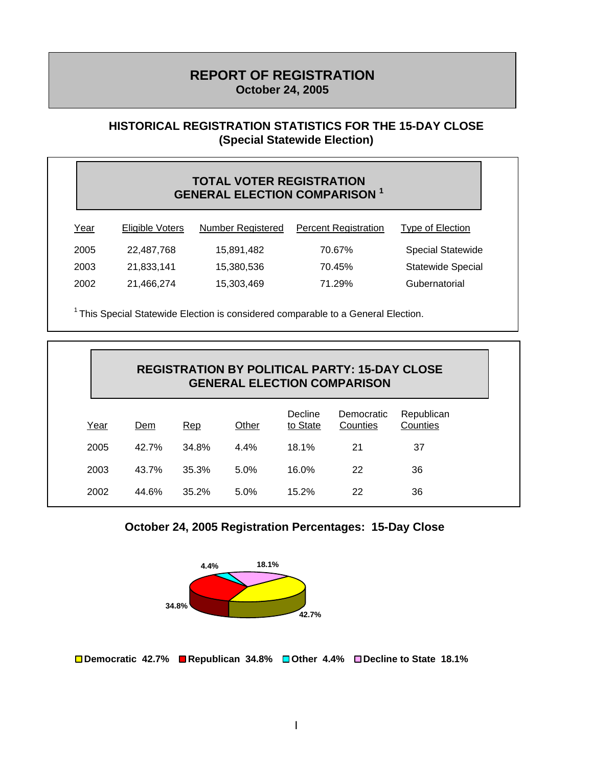# **REPORT OF REGISTRATION October 24, 2005**

#### **HISTORICAL REGISTRATION STATISTICS FOR THE 15-DAY CLOSE (Special Statewide Election)**

#### **TOTAL VOTER REGISTRATION GENERAL ELECTION COMPARISON 1**

| <u>Year</u> | <b>Eligible Voters</b> | <b>Number Registered</b> | <b>Percent Registration</b> | <b>Type of Election</b>  |
|-------------|------------------------|--------------------------|-----------------------------|--------------------------|
| 2005        | 22,487,768             | 15,891,482               | 70.67%                      | <b>Special Statewide</b> |
| 2003        | 21,833,141             | 15,380,536               | 70.45%                      | <b>Statewide Special</b> |
| 2002        | 21,466,274             | 15,303,469               | 71.29%                      | Gubernatorial            |

<sup>1</sup> This Special Statewide Election is considered comparable to a General Election.

|      |       |       |       |                     | <b>REGISTRATION BY POLITICAL PARTY: 15-DAY CLOSE</b><br><b>GENERAL ELECTION COMPARISON</b> |                        |
|------|-------|-------|-------|---------------------|--------------------------------------------------------------------------------------------|------------------------|
| Year | Dem   | Rep   | Other | Decline<br>to State | Democratic<br>Counties                                                                     | Republican<br>Counties |
| 2005 | 42.7% | 34.8% | 4.4%  | 18.1%               | 21                                                                                         | 37                     |
| 2003 | 43.7% | 35.3% | 5.0%  | 16.0%               | 22                                                                                         | 36                     |
| 2002 | 44.6% | 35.2% | 5.0%  | 15.2%               | 22                                                                                         | 36                     |





**Democratic 42.7% Republican 34.8% Other 4.4% Decline to State 18.1%**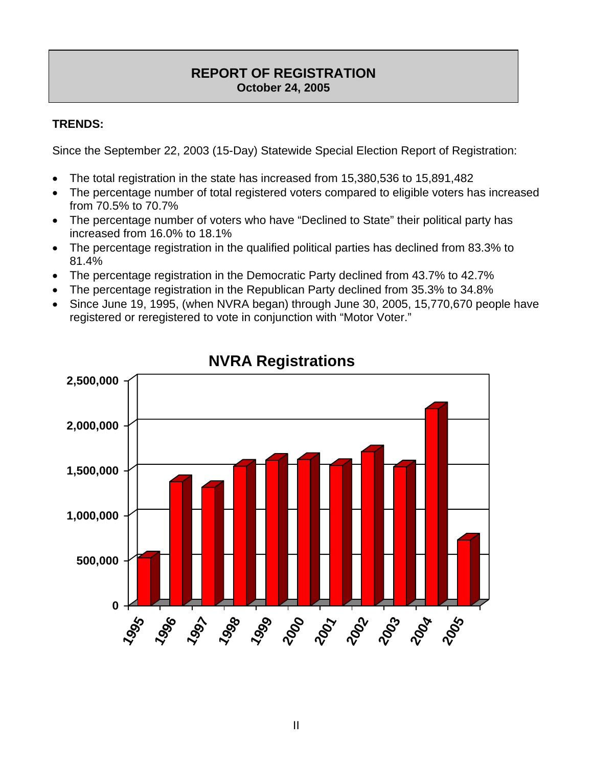## **REPORT OF REGISTRATION October 24, 2005**

## **TRENDS:**

Since the September 22, 2003 (15-Day) Statewide Special Election Report of Registration:

- The total registration in the state has increased from 15,380,536 to 15,891,482
- The percentage number of total registered voters compared to eligible voters has increased from 70.5% to 70.7%
- The percentage number of voters who have "Declined to State" their political party has increased from 16.0% to 18.1%
- The percentage registration in the qualified political parties has declined from 83.3% to 81.4%
- The percentage registration in the Democratic Party declined from 43.7% to 42.7%
- The percentage registration in the Republican Party declined from 35.3% to 34.8%
- Since June 19, 1995, (when NVRA began) through June 30, 2005, 15,770,670 people have registered or reregistered to vote in conjunction with "Motor Voter."



**NVRA Registrations**